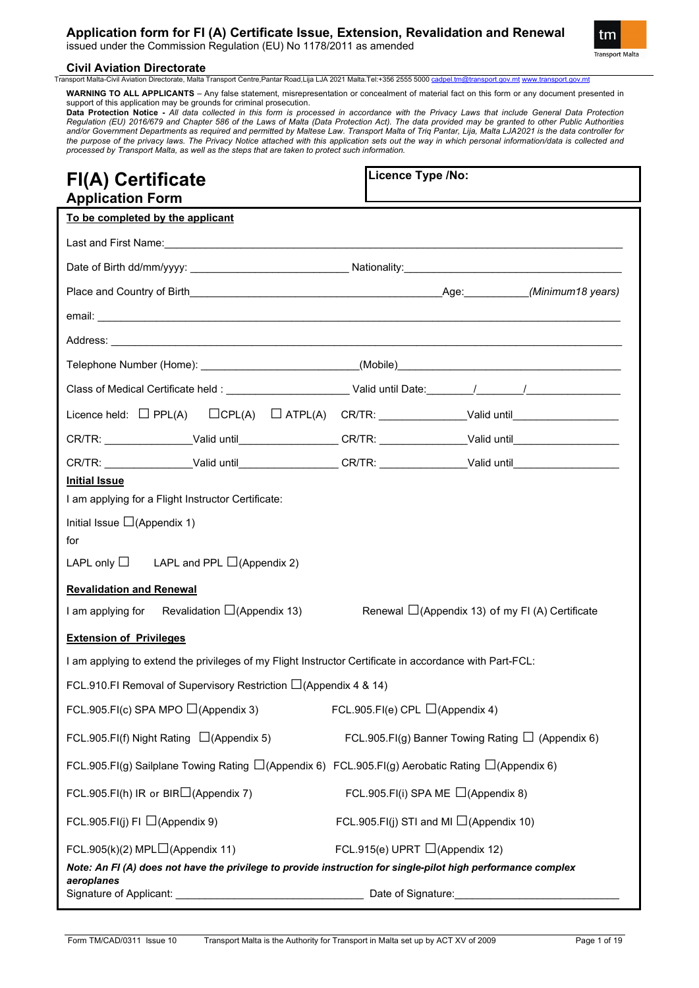issued under the Commission Regulation (EU) No 1178/2011 as amended



# **Civil Aviation Directorate**<br>Transport Malta-Civil Aviation Directorate, Malta

ta-Civil Aviation Directorate, Malta Transport Centre,Pantar Road,Lija LJA 2021 Malta.Tel:+356 2555 5000 <u>[cadpel.tm@transport.gov.mt](mailto:cadpel.tm@transport.gov.mt) www.</u>

**WARNING TO ALL APPLICANTS** – Any false statement, misrepresentation or concealment of material fact on this form or any document presented in support of this application may be grounds for criminal prosecution.

**Data Protection Notice -** *All data collected in this form is processed in accordance with the Privacy Laws that include General Data Protection Regulation (EU) 2016/679 and Chapter 586 of the Laws of Malta (Data Protection Act). The data provided may be granted to other Public Authorities and/or Government Departments as required and permitted by Maltese Law. Transport Malta of Triq Pantar, Lija, Malta LJA2021 is the data controller for the purpose of the privacy laws. The Privacy Notice attached with this application sets out the way in which personal information/data is collected and processed by Transport Malta, as well as the steps that are taken to protect such information.*

| <b>FI(A) Certificate</b><br><b>Application Form</b>                                                          |                                                                                                                |                                               | Licence Type /No:                                      |  |                                                       |
|--------------------------------------------------------------------------------------------------------------|----------------------------------------------------------------------------------------------------------------|-----------------------------------------------|--------------------------------------------------------|--|-------------------------------------------------------|
| To be completed by the applicant                                                                             |                                                                                                                |                                               |                                                        |  |                                                       |
|                                                                                                              |                                                                                                                |                                               |                                                        |  |                                                       |
|                                                                                                              |                                                                                                                |                                               |                                                        |  |                                                       |
|                                                                                                              |                                                                                                                |                                               |                                                        |  |                                                       |
|                                                                                                              |                                                                                                                |                                               |                                                        |  |                                                       |
|                                                                                                              |                                                                                                                |                                               |                                                        |  |                                                       |
|                                                                                                              |                                                                                                                |                                               |                                                        |  |                                                       |
|                                                                                                              |                                                                                                                |                                               |                                                        |  |                                                       |
|                                                                                                              |                                                                                                                |                                               |                                                        |  |                                                       |
|                                                                                                              | CR/TR: ____________________Valid until___________________CR/TR: ________________Valid until___________________ |                                               |                                                        |  |                                                       |
|                                                                                                              | CR/TR: ____________________Valid until___________________CR/TR: ________________Valid until___________________ |                                               |                                                        |  |                                                       |
| <b>Initial Issue</b>                                                                                         |                                                                                                                |                                               |                                                        |  |                                                       |
| I am applying for a Flight Instructor Certificate:                                                           |                                                                                                                |                                               |                                                        |  |                                                       |
| Initial Issue $\Box$ (Appendix 1)                                                                            |                                                                                                                |                                               |                                                        |  |                                                       |
| for                                                                                                          |                                                                                                                |                                               |                                                        |  |                                                       |
| LAPL only $\Box$ LAPL and PPL $\Box$ (Appendix 2)                                                            |                                                                                                                |                                               |                                                        |  |                                                       |
| <b>Revalidation and Renewal</b>                                                                              |                                                                                                                |                                               |                                                        |  |                                                       |
| I am applying for Revalidation $\Box$ (Appendix 13)                                                          |                                                                                                                |                                               |                                                        |  | Renewal $\Box$ (Appendix 13) of my FI (A) Certificate |
| <b>Extension of Privileges</b>                                                                               |                                                                                                                |                                               |                                                        |  |                                                       |
|                                                                                                              | I am applying to extend the privileges of my Flight Instructor Certificate in accordance with Part-FCL:        |                                               |                                                        |  |                                                       |
|                                                                                                              | FCL.910.FI Removal of Supervisory Restriction $\Box$ (Appendix 4 & 14)                                         |                                               |                                                        |  |                                                       |
| FCL.905.FI(c) SPA MPO $\Box$ (Appendix 3)<br>FCL.905.FI(e) CPL $\Box$ (Appendix 4)                           |                                                                                                                |                                               |                                                        |  |                                                       |
| FCL.905.FI(f) Night Rating $\Box$ (Appendix 5)                                                               |                                                                                                                |                                               | FCL.905.FI(g) Banner Towing Rating $\Box$ (Appendix 6) |  |                                                       |
| FCL.905.FI(g) Sailplane Towing Rating $\Box$ (Appendix 6) FCL.905.FI(g) Aerobatic Rating $\Box$ (Appendix 6) |                                                                                                                |                                               |                                                        |  |                                                       |
| FCL.905.FI(h) IR or BIR $\Box$ (Appendix 7)<br>FCL.905.FI(i) SPA ME $\Box$ (Appendix 8)                      |                                                                                                                |                                               |                                                        |  |                                                       |
| FCL.905.FI(j) FI $\Box$ (Appendix 9)                                                                         |                                                                                                                | FCL.905.FI(j) STI and MI $\Box$ (Appendix 10) |                                                        |  |                                                       |
| FCL.905(k)(2) MPL $\Box$ (Appendix 11)                                                                       |                                                                                                                |                                               | FCL.915(e) UPRT $\Box$ (Appendix 12)                   |  |                                                       |
|                                                                                                              | Note: An FI (A) does not have the privilege to provide instruction for single-pilot high performance complex   |                                               |                                                        |  |                                                       |
| aeroplanes                                                                                                   |                                                                                                                |                                               | Date of Signature:                                     |  |                                                       |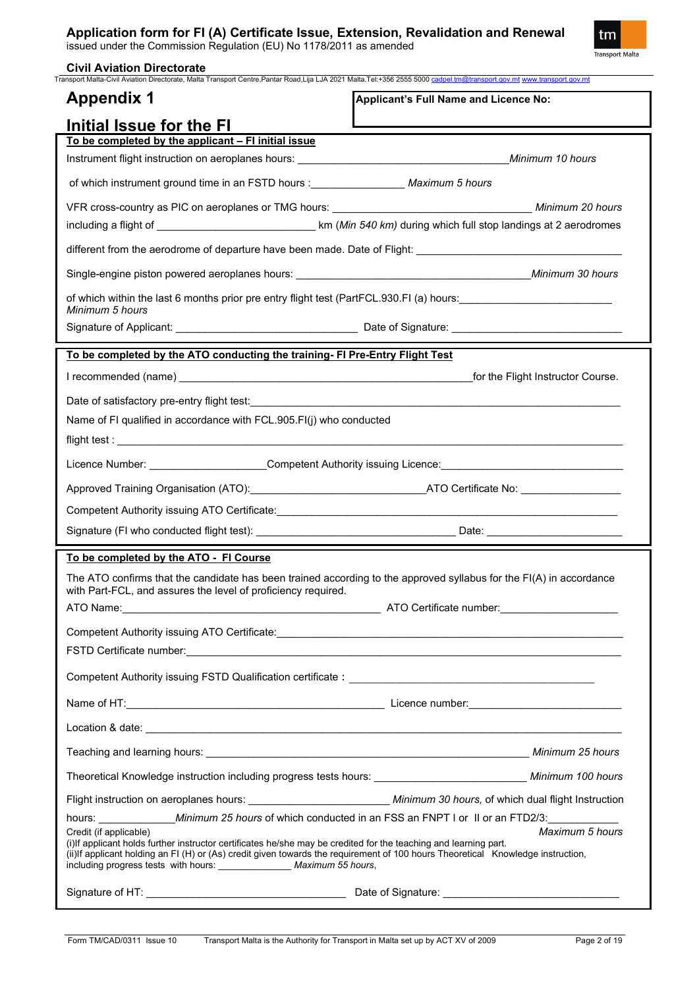issued under the Commission Regulation (EU) No 1178/2011 as amended



| <b>Civil Aviation Directorate</b><br>Transport Malta-Civil Aviation Directorate, Malta Transport Centre, Pantar Road, Lija LJA 2021 Malta. Tel: +356 2555 5000 cadpel.tm@transport.gov.mt www.transport.gov.mt                                                                                                                                             |                                       |
|------------------------------------------------------------------------------------------------------------------------------------------------------------------------------------------------------------------------------------------------------------------------------------------------------------------------------------------------------------|---------------------------------------|
| <b>Appendix 1</b>                                                                                                                                                                                                                                                                                                                                          | Applicant's Full Name and Licence No: |
| Initial Issue for the FI                                                                                                                                                                                                                                                                                                                                   |                                       |
| To be completed by the applicant - FI initial issue                                                                                                                                                                                                                                                                                                        |                                       |
|                                                                                                                                                                                                                                                                                                                                                            |                                       |
| of which instrument ground time in an FSTD hours : __________________ Maximum 5 hours                                                                                                                                                                                                                                                                      |                                       |
|                                                                                                                                                                                                                                                                                                                                                            |                                       |
|                                                                                                                                                                                                                                                                                                                                                            |                                       |
|                                                                                                                                                                                                                                                                                                                                                            |                                       |
|                                                                                                                                                                                                                                                                                                                                                            |                                       |
| of which within the last 6 months prior pre entry flight test (PartFCL.930.FI (a) hours:                                                                                                                                                                                                                                                                   |                                       |
| Minimum 5 hours                                                                                                                                                                                                                                                                                                                                            |                                       |
|                                                                                                                                                                                                                                                                                                                                                            |                                       |
| To be completed by the ATO conducting the training- FI Pre-Entry Flight Test                                                                                                                                                                                                                                                                               |                                       |
|                                                                                                                                                                                                                                                                                                                                                            |                                       |
|                                                                                                                                                                                                                                                                                                                                                            |                                       |
| Name of FI qualified in accordance with FCL.905.FI(j) who conducted                                                                                                                                                                                                                                                                                        |                                       |
|                                                                                                                                                                                                                                                                                                                                                            |                                       |
| Licence Number: ______________________Competent Authority issuing Licence: _________________________                                                                                                                                                                                                                                                       |                                       |
|                                                                                                                                                                                                                                                                                                                                                            |                                       |
|                                                                                                                                                                                                                                                                                                                                                            |                                       |
|                                                                                                                                                                                                                                                                                                                                                            |                                       |
| To be completed by the ATO - FI Course                                                                                                                                                                                                                                                                                                                     |                                       |
| The ATO confirms that the candidate has been trained according to the approved syllabus for the FI(A) in accordance                                                                                                                                                                                                                                        |                                       |
| with Part-FCL, and assures the level of proficiency required.                                                                                                                                                                                                                                                                                              |                                       |
|                                                                                                                                                                                                                                                                                                                                                            |                                       |
|                                                                                                                                                                                                                                                                                                                                                            |                                       |
|                                                                                                                                                                                                                                                                                                                                                            |                                       |
|                                                                                                                                                                                                                                                                                                                                                            |                                       |
|                                                                                                                                                                                                                                                                                                                                                            |                                       |
|                                                                                                                                                                                                                                                                                                                                                            |                                       |
|                                                                                                                                                                                                                                                                                                                                                            | Minimum 25 hours                      |
| Theoretical Knowledge instruction including progress tests hours: _______________________________ Minimum 100 hours                                                                                                                                                                                                                                        |                                       |
| Flight instruction on aeroplanes hours: _____________________________ Minimum 30 hours, of which dual flight Instruction                                                                                                                                                                                                                                   |                                       |
| hours: <i>______________Minimum 25 hours</i> of which conducted in an FSS an FNPT I or II or an FTD2/3:                                                                                                                                                                                                                                                    |                                       |
| Credit (if applicable)<br>(i) If applicant holds further instructor certificates he/she may be credited for the teaching and learning part.<br>(ii) If applicant holding an FI (H) or (As) credit given towards the requirement of 100 hours Theoretical Knowledge instruction,<br>including progress tests with hours: ________________ Maximum 55 hours, | Maximum 5 hours                       |
|                                                                                                                                                                                                                                                                                                                                                            |                                       |
|                                                                                                                                                                                                                                                                                                                                                            |                                       |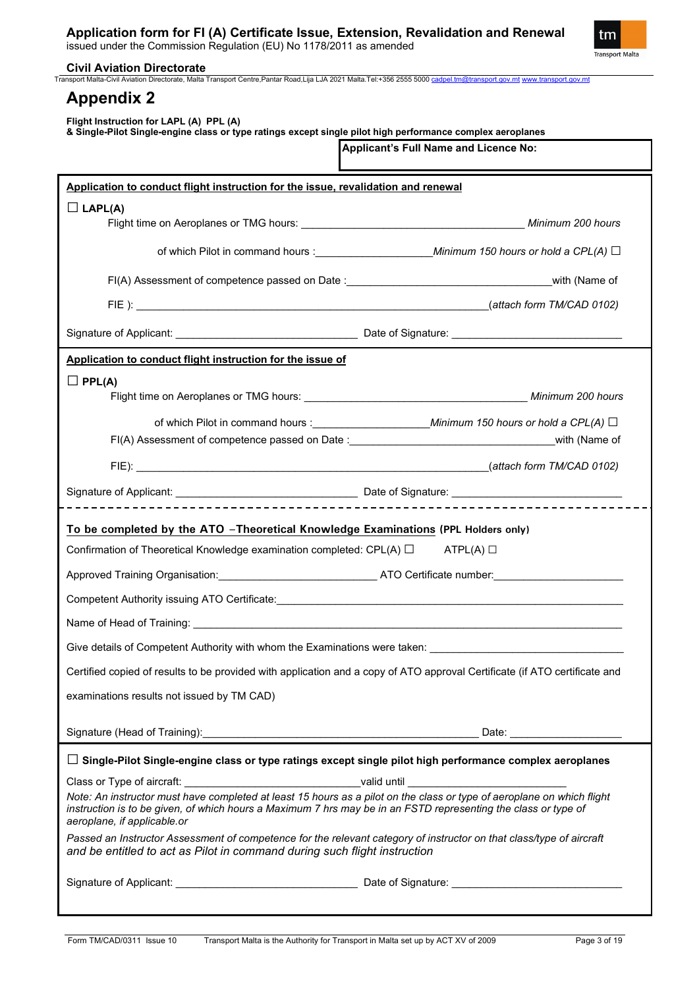

| Transport Malta-Civil Aviation Directorate, Malta Transport Centre, Pantar Road,Lija LJA 2021 Malta.Tel:+356 2555 5000 cadpel.tm@transport.gov.mt www.transport.gov.mt<br><b>Appendix 2</b><br>Flight Instruction for LAPL (A) PPL (A)<br>& Single-Pilot Single-engine class or type ratings except single pilot high performance complex aeroplanes<br>Applicant's Full Name and Licence No:<br>Application to conduct flight instruction for the issue, revalidation and renewal<br>$\Box$ LAPL(A)<br>Flight time on Aeroplanes or TMG hours: <b>Accept and Service Control of the Minimum 200 hours</b><br>Application to conduct flight instruction for the issue of<br>$\Box$ PPL(A)<br>Flight time on Aeroplanes or TMG hours: <b>with the control of the control of the control of the control of the control of the control of the control of the control of the control of the control of the control of the control</b> |  |
|-----------------------------------------------------------------------------------------------------------------------------------------------------------------------------------------------------------------------------------------------------------------------------------------------------------------------------------------------------------------------------------------------------------------------------------------------------------------------------------------------------------------------------------------------------------------------------------------------------------------------------------------------------------------------------------------------------------------------------------------------------------------------------------------------------------------------------------------------------------------------------------------------------------------------------------|--|
|                                                                                                                                                                                                                                                                                                                                                                                                                                                                                                                                                                                                                                                                                                                                                                                                                                                                                                                                   |  |
|                                                                                                                                                                                                                                                                                                                                                                                                                                                                                                                                                                                                                                                                                                                                                                                                                                                                                                                                   |  |
|                                                                                                                                                                                                                                                                                                                                                                                                                                                                                                                                                                                                                                                                                                                                                                                                                                                                                                                                   |  |
|                                                                                                                                                                                                                                                                                                                                                                                                                                                                                                                                                                                                                                                                                                                                                                                                                                                                                                                                   |  |
|                                                                                                                                                                                                                                                                                                                                                                                                                                                                                                                                                                                                                                                                                                                                                                                                                                                                                                                                   |  |
|                                                                                                                                                                                                                                                                                                                                                                                                                                                                                                                                                                                                                                                                                                                                                                                                                                                                                                                                   |  |
|                                                                                                                                                                                                                                                                                                                                                                                                                                                                                                                                                                                                                                                                                                                                                                                                                                                                                                                                   |  |
|                                                                                                                                                                                                                                                                                                                                                                                                                                                                                                                                                                                                                                                                                                                                                                                                                                                                                                                                   |  |
|                                                                                                                                                                                                                                                                                                                                                                                                                                                                                                                                                                                                                                                                                                                                                                                                                                                                                                                                   |  |
|                                                                                                                                                                                                                                                                                                                                                                                                                                                                                                                                                                                                                                                                                                                                                                                                                                                                                                                                   |  |
|                                                                                                                                                                                                                                                                                                                                                                                                                                                                                                                                                                                                                                                                                                                                                                                                                                                                                                                                   |  |
|                                                                                                                                                                                                                                                                                                                                                                                                                                                                                                                                                                                                                                                                                                                                                                                                                                                                                                                                   |  |
| FI(A) Assessment of competence passed on Date : with (Name of with (Name of                                                                                                                                                                                                                                                                                                                                                                                                                                                                                                                                                                                                                                                                                                                                                                                                                                                       |  |
|                                                                                                                                                                                                                                                                                                                                                                                                                                                                                                                                                                                                                                                                                                                                                                                                                                                                                                                                   |  |
|                                                                                                                                                                                                                                                                                                                                                                                                                                                                                                                                                                                                                                                                                                                                                                                                                                                                                                                                   |  |
|                                                                                                                                                                                                                                                                                                                                                                                                                                                                                                                                                                                                                                                                                                                                                                                                                                                                                                                                   |  |
| To be completed by the ATO -Theoretical Knowledge Examinations (PPL Holders only)                                                                                                                                                                                                                                                                                                                                                                                                                                                                                                                                                                                                                                                                                                                                                                                                                                                 |  |
| Confirmation of Theoretical Knowledge examination completed: $\mathsf{CPL}(A)$ $\square$<br>$ATPL(A)$ $\square$                                                                                                                                                                                                                                                                                                                                                                                                                                                                                                                                                                                                                                                                                                                                                                                                                   |  |
|                                                                                                                                                                                                                                                                                                                                                                                                                                                                                                                                                                                                                                                                                                                                                                                                                                                                                                                                   |  |
|                                                                                                                                                                                                                                                                                                                                                                                                                                                                                                                                                                                                                                                                                                                                                                                                                                                                                                                                   |  |
|                                                                                                                                                                                                                                                                                                                                                                                                                                                                                                                                                                                                                                                                                                                                                                                                                                                                                                                                   |  |
| Give details of Competent Authority with whom the Examinations were taken:                                                                                                                                                                                                                                                                                                                                                                                                                                                                                                                                                                                                                                                                                                                                                                                                                                                        |  |
| Certified copied of results to be provided with application and a copy of ATO approval Certificate (if ATO certificate and                                                                                                                                                                                                                                                                                                                                                                                                                                                                                                                                                                                                                                                                                                                                                                                                        |  |
| examinations results not issued by TM CAD)                                                                                                                                                                                                                                                                                                                                                                                                                                                                                                                                                                                                                                                                                                                                                                                                                                                                                        |  |
|                                                                                                                                                                                                                                                                                                                                                                                                                                                                                                                                                                                                                                                                                                                                                                                                                                                                                                                                   |  |
| $\Box$ Single-Pilot Single-engine class or type ratings except single pilot high performance complex aeroplanes                                                                                                                                                                                                                                                                                                                                                                                                                                                                                                                                                                                                                                                                                                                                                                                                                   |  |
| Class or Type of aircraft: _________________________________valid until ___________________________<br>Note: An instructor must have completed at least 15 hours as a pilot on the class or type of aeroplane on which flight<br>instruction is to be given, of which hours a Maximum 7 hrs may be in an FSTD representing the class or type of<br>aeroplane, if applicable.or                                                                                                                                                                                                                                                                                                                                                                                                                                                                                                                                                    |  |
| Passed an Instructor Assessment of competence for the relevant category of instructor on that class/type of aircraft<br>and be entitled to act as Pilot in command during such flight instruction                                                                                                                                                                                                                                                                                                                                                                                                                                                                                                                                                                                                                                                                                                                                 |  |
|                                                                                                                                                                                                                                                                                                                                                                                                                                                                                                                                                                                                                                                                                                                                                                                                                                                                                                                                   |  |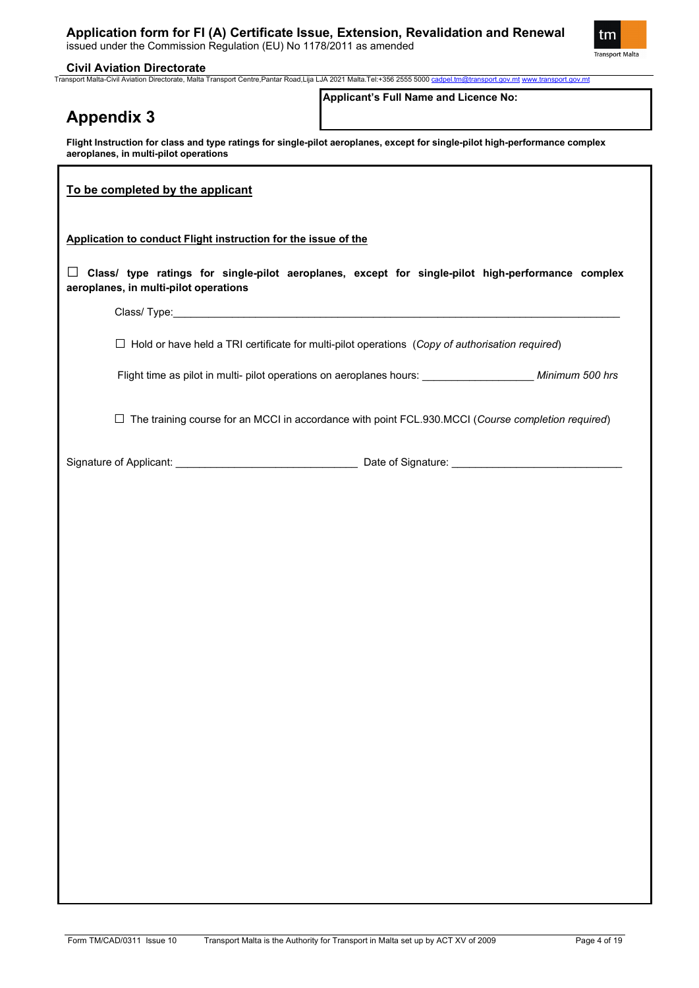

### **Civil Aviation Directorate**

Transport Malta-Civil Aviation Directorate, Malta Transport Centre,Pantar Road,Lija LJA 2021 Malta.Tel:+356 2555 5000 [cadpel.tm@transport.gov.mt](mailto:cadpel.tm@transport.gov.mt) [www.transport.gov.mt](http://www.transport.gov.mt/)

| <b>Appendix 3</b>                                              | Applicant's Full Name and Licence No:                                                                                       |
|----------------------------------------------------------------|-----------------------------------------------------------------------------------------------------------------------------|
| aeroplanes, in multi-pilot operations                          | Flight Instruction for class and type ratings for single-pilot aeroplanes, except for single-pilot high-performance complex |
| To be completed by the applicant                               |                                                                                                                             |
| Application to conduct Flight instruction for the issue of the |                                                                                                                             |
| aeroplanes, in multi-pilot operations                          | $\Box$ Class/ type ratings for single-pilot aeroplanes, except for single-pilot high-performance complex                    |
|                                                                |                                                                                                                             |
|                                                                | $\Box$ Hold or have held a TRI certificate for multi-pilot operations (Copy of authorisation required)                      |
|                                                                | Flight time as pilot in multi- pilot operations on aeroplanes hours: ______________________ Minimum 500 hrs                 |
|                                                                | $\Box$ The training course for an MCCI in accordance with point FCL.930.MCCI (Course completion required)                   |
|                                                                |                                                                                                                             |
|                                                                |                                                                                                                             |
|                                                                |                                                                                                                             |
|                                                                |                                                                                                                             |
|                                                                |                                                                                                                             |
|                                                                |                                                                                                                             |
|                                                                |                                                                                                                             |
|                                                                |                                                                                                                             |
|                                                                |                                                                                                                             |
|                                                                |                                                                                                                             |
|                                                                |                                                                                                                             |
|                                                                |                                                                                                                             |
|                                                                |                                                                                                                             |
|                                                                |                                                                                                                             |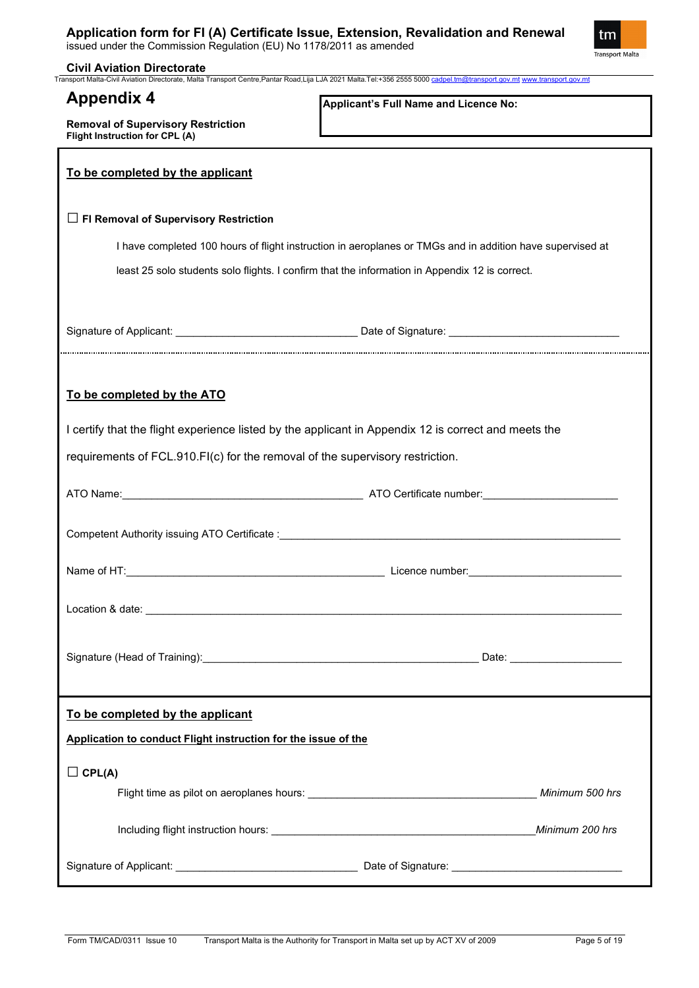

**Civil Aviation Directorate**

**Removal of Supervisory Restriction**

Transport Malta-Civil Aviation Directorate, Malta Transport Centre,Pantar Road,Lija LJA 2021 Malta.Tel:+356 2555 5000 [cadpel.tm@transport.gov.mt](mailto:cadpel.tm@transport.gov.mt) [www.transport.gov.mt](http://www.transport.gov.mt/)

## **Appendix 4**

**Applicant's Full Name and Licence No:**

| Flight Instruction for CPL (A)                                                                                                                                                                                                       |                 |  |  |
|--------------------------------------------------------------------------------------------------------------------------------------------------------------------------------------------------------------------------------------|-----------------|--|--|
| To be completed by the applicant                                                                                                                                                                                                     |                 |  |  |
| $\Box$ FI Removal of Supervisory Restriction                                                                                                                                                                                         |                 |  |  |
| I have completed 100 hours of flight instruction in aeroplanes or TMGs and in addition have supervised at                                                                                                                            |                 |  |  |
| least 25 solo students solo flights. I confirm that the information in Appendix 12 is correct.                                                                                                                                       |                 |  |  |
|                                                                                                                                                                                                                                      |                 |  |  |
|                                                                                                                                                                                                                                      |                 |  |  |
|                                                                                                                                                                                                                                      |                 |  |  |
| To be completed by the ATO                                                                                                                                                                                                           |                 |  |  |
| I certify that the flight experience listed by the applicant in Appendix 12 is correct and meets the                                                                                                                                 |                 |  |  |
| requirements of FCL.910.FI(c) for the removal of the supervisory restriction.                                                                                                                                                        |                 |  |  |
|                                                                                                                                                                                                                                      |                 |  |  |
| Competent Authority issuing ATO Certificate : Manual According to the Competent Authority issuing ATO Certificate :                                                                                                                  |                 |  |  |
|                                                                                                                                                                                                                                      |                 |  |  |
|                                                                                                                                                                                                                                      |                 |  |  |
| Signature (Head of Training):                                                                                                                                                                                                        | Date:           |  |  |
| To be completed by the applicant                                                                                                                                                                                                     |                 |  |  |
| Application to conduct Flight instruction for the issue of the                                                                                                                                                                       |                 |  |  |
| $\Box$ CPL(A)                                                                                                                                                                                                                        |                 |  |  |
| Flight time as pilot on aeroplanes hours: <b>William Strategie and Strategie and Strategie and Strategie and Strategie and Strategie and Strategie and Strategie and Strategie and Strategie and Strategie and Strategie and Str</b> |                 |  |  |
|                                                                                                                                                                                                                                      | Minimum 200 hrs |  |  |
|                                                                                                                                                                                                                                      |                 |  |  |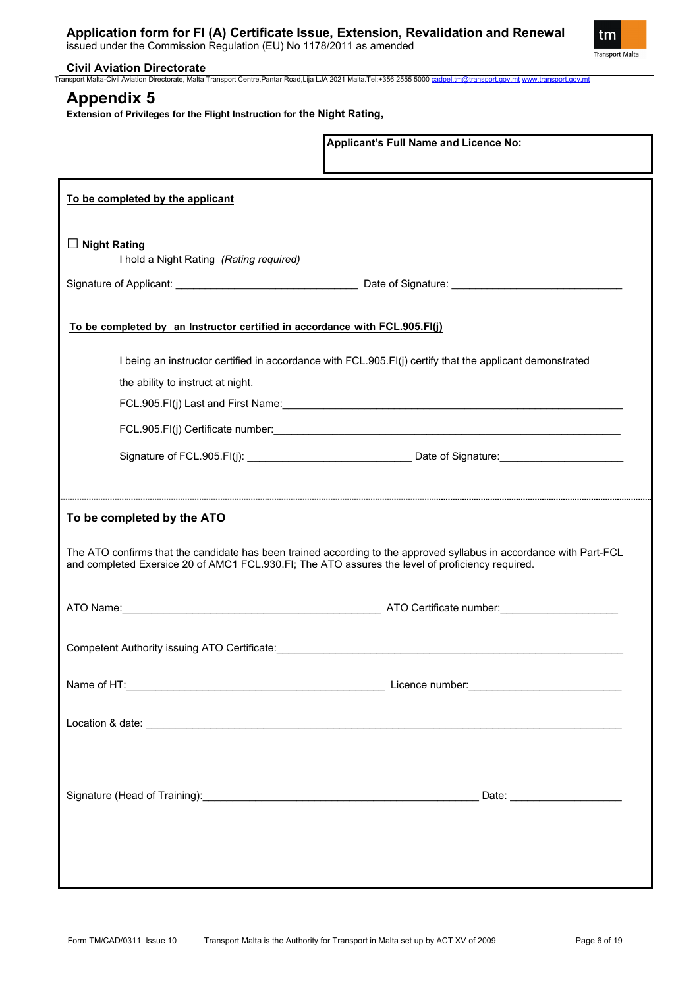

## **Civil Aviation Directorate**

Transport Malta-Civil Aviation Directorate, Malta Transport Centre,Pantar Road,Lija LJA 2021 Malta.Tel:+356 2555 5000 [cadpel.tm@transport.gov.mt](mailto:cadpel.tm@transport.gov.mt) [www.transport.gov.mt](http://www.transport.gov.mt/)

## **Appendix 5**

**Extension of Privileges for the Flight Instruction for the Night Rating,** 

|                                                                                                                                                                                                                                                       | Applicant's Full Name and Licence No:                                                                    |  |  |
|-------------------------------------------------------------------------------------------------------------------------------------------------------------------------------------------------------------------------------------------------------|----------------------------------------------------------------------------------------------------------|--|--|
| To be completed by the applicant                                                                                                                                                                                                                      |                                                                                                          |  |  |
| $\Box$ Night Rating<br>I hold a Night Rating (Rating required)                                                                                                                                                                                        |                                                                                                          |  |  |
|                                                                                                                                                                                                                                                       |                                                                                                          |  |  |
| To be completed by an Instructor certified in accordance with FCL.905.FI(j)                                                                                                                                                                           |                                                                                                          |  |  |
|                                                                                                                                                                                                                                                       | I being an instructor certified in accordance with FCL.905.FI(j) certify that the applicant demonstrated |  |  |
| the ability to instruct at night.                                                                                                                                                                                                                     |                                                                                                          |  |  |
|                                                                                                                                                                                                                                                       | FCL.905.FI(j) Last and First Name: Manual Communication of the CL.905.FI(j) Last and First Name:         |  |  |
|                                                                                                                                                                                                                                                       |                                                                                                          |  |  |
|                                                                                                                                                                                                                                                       |                                                                                                          |  |  |
|                                                                                                                                                                                                                                                       |                                                                                                          |  |  |
| To be completed by the ATO<br>The ATO confirms that the candidate has been trained according to the approved syllabus in accordance with Part-FCL<br>and completed Exersice 20 of AMC1 FCL.930.FI; The ATO assures the level of proficiency required. |                                                                                                          |  |  |
|                                                                                                                                                                                                                                                       |                                                                                                          |  |  |
| Competent Authority issuing ATO Certificate:                                                                                                                                                                                                          |                                                                                                          |  |  |
|                                                                                                                                                                                                                                                       |                                                                                                          |  |  |
|                                                                                                                                                                                                                                                       |                                                                                                          |  |  |
|                                                                                                                                                                                                                                                       |                                                                                                          |  |  |
|                                                                                                                                                                                                                                                       |                                                                                                          |  |  |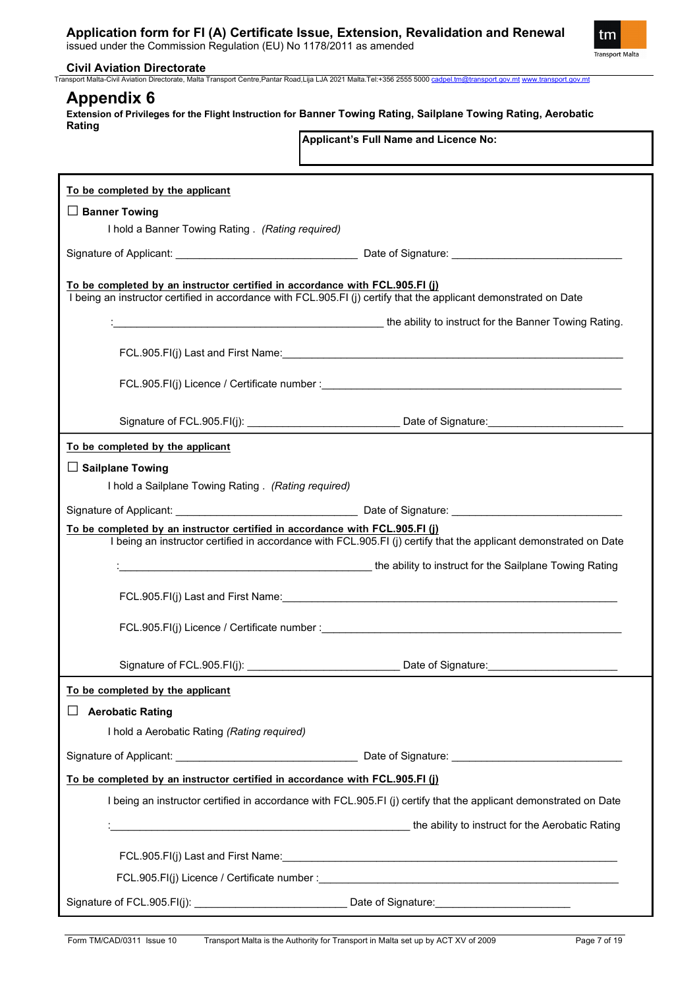issued under the Commission Regulation (EU) No 1178/2011 as amended



## **Civil Aviation Directorate**

Transport Malta-Civil Aviation Directorate, Malta Transport Centre,Pantar Road,Lija LJA 2021 Malta.Tel:+356 2555 5000 [cadpel.tm@transport.gov.mt](mailto:cadpel.tm@transport.gov.mt) [www.transport.gov.mt](http://www.transport.gov.mt/)

## **Appendix 6**

**Extension of Privileges for the Flight Instruction for Banner Towing Rating, Sailplane Towing Rating, Aerobatic Rating**

**Applicant's Full Name and Licence No:**

| To be completed by the applicant                                                                                                                                                                  |  |  |  |
|---------------------------------------------------------------------------------------------------------------------------------------------------------------------------------------------------|--|--|--|
| $\Box$ Banner Towing                                                                                                                                                                              |  |  |  |
| I hold a Banner Towing Rating . (Rating required)                                                                                                                                                 |  |  |  |
|                                                                                                                                                                                                   |  |  |  |
| To be completed by an instructor certified in accordance with FCL.905.FI (j)<br>I being an instructor certified in accordance with FCL.905.FI (i) certify that the applicant demonstrated on Date |  |  |  |
| the ability to instruct for the Banner Towing Rating.                                                                                                                                             |  |  |  |
|                                                                                                                                                                                                   |  |  |  |
|                                                                                                                                                                                                   |  |  |  |
|                                                                                                                                                                                                   |  |  |  |
| To be completed by the applicant                                                                                                                                                                  |  |  |  |
| $\Box$ Sailplane Towing                                                                                                                                                                           |  |  |  |
| I hold a Sailplane Towing Rating . (Rating required)                                                                                                                                              |  |  |  |
|                                                                                                                                                                                                   |  |  |  |
| To be completed by an instructor certified in accordance with FCL.905.FI (j)<br>I being an instructor certified in accordance with FCL.905.FI (j) certify that the applicant demonstrated on Date |  |  |  |
| the ability to instruct for the Sailplane Towing Rating                                                                                                                                           |  |  |  |
|                                                                                                                                                                                                   |  |  |  |
|                                                                                                                                                                                                   |  |  |  |
|                                                                                                                                                                                                   |  |  |  |
|                                                                                                                                                                                                   |  |  |  |
| To be completed by the applicant                                                                                                                                                                  |  |  |  |
| <b>Aerobatic Rating</b>                                                                                                                                                                           |  |  |  |
| I hold a Aerobatic Rating (Rating required)                                                                                                                                                       |  |  |  |
|                                                                                                                                                                                                   |  |  |  |
| To be completed by an instructor certified in accordance with FCL.905.FI (j)                                                                                                                      |  |  |  |
| I being an instructor certified in accordance with FCL.905.FI (j) certify that the applicant demonstrated on Date                                                                                 |  |  |  |
| <b>the ability to instruct for the Aerobatic Rating</b> (and the ability to instruct for the Aerobatic Rating                                                                                     |  |  |  |
|                                                                                                                                                                                                   |  |  |  |
|                                                                                                                                                                                                   |  |  |  |
|                                                                                                                                                                                                   |  |  |  |
|                                                                                                                                                                                                   |  |  |  |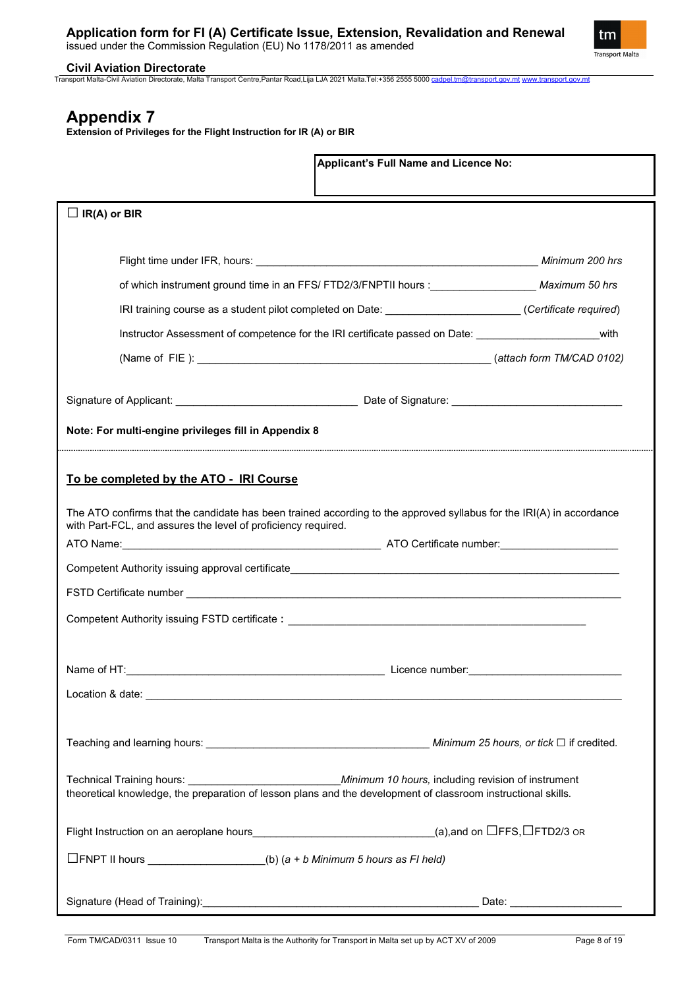

**Civil Aviation Directorate**

Transport Malta-Civil Aviation Directorate, Malta Transport Centre,Pantar Road,Lija LJA 2021 Malta.Tel:+356 2555 5000 [cadpel.tm@transport.gov.mt](mailto:cadpel.tm@transport.gov.mt) [www.transport.gov.mt](http://www.transport.gov.mt/)

# **Appendix 7**

**Extension of Privileges for the Flight Instruction for IR (A) or BIR**

| Applicant's Full Name and Licence No:                                                                                                                                                 |                               |  |  |  |
|---------------------------------------------------------------------------------------------------------------------------------------------------------------------------------------|-------------------------------|--|--|--|
| $\Box$ IR(A) or BIR                                                                                                                                                                   |                               |  |  |  |
|                                                                                                                                                                                       |                               |  |  |  |
| of which instrument ground time in an FFS/ FTD2/3/FNPTII hours : _____________________ Maximum 50 hrs                                                                                 |                               |  |  |  |
| IRI training course as a student pilot completed on Date: ______________________(Certificate required)                                                                                |                               |  |  |  |
| Instructor Assessment of competence for the IRI certificate passed on Date: vith                                                                                                      |                               |  |  |  |
|                                                                                                                                                                                       |                               |  |  |  |
|                                                                                                                                                                                       |                               |  |  |  |
| Note: For multi-engine privileges fill in Appendix 8                                                                                                                                  |                               |  |  |  |
| To be completed by the ATO - IRI Course                                                                                                                                               |                               |  |  |  |
| The ATO confirms that the candidate has been trained according to the approved syllabus for the IRI(A) in accordance<br>with Part-FCL, and assures the level of proficiency required. |                               |  |  |  |
|                                                                                                                                                                                       |                               |  |  |  |
|                                                                                                                                                                                       |                               |  |  |  |
| theoretical knowledge, the preparation of lesson plans and the development of classroom instructional skills.                                                                         |                               |  |  |  |
| Flight Instruction on an aeroplane hours________________________________(a),and on $\Box$ FFS, $\Box$ FTD2/3 or                                                                       |                               |  |  |  |
| $\Box$ FNPT II hours _________________(b) (a + b Minimum 5 hours as FI held)                                                                                                          |                               |  |  |  |
|                                                                                                                                                                                       | Date: _______________________ |  |  |  |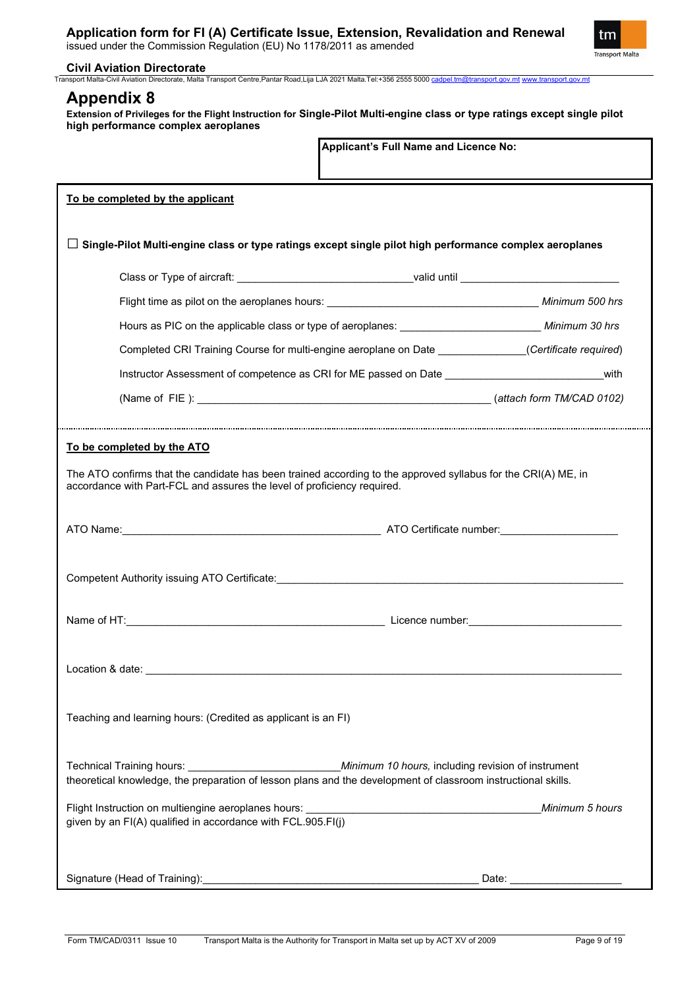

### **Civil Aviation Directorate**

Transport Malta-Civil Aviation Directorate, Malta Transport Centre,Pantar Road,Lija LJA 2021 Malta.Tel:+356 2555 5000 [cadpel.tm@transport.gov.mt](mailto:cadpel.tm@transport.gov.mt) [www.transport.gov.mt](http://www.transport.gov.mt/)

## **Appendix 8**

**Extension of Privileges for the Flight Instruction for Single-Pilot Multi-engine class or type ratings except single pilot high performance complex aeroplanes**

|                                                                                                               | Applicant's Full Name and Licence No:                                                                         |  |  |  |
|---------------------------------------------------------------------------------------------------------------|---------------------------------------------------------------------------------------------------------------|--|--|--|
| To be completed by the applicant                                                                              |                                                                                                               |  |  |  |
|                                                                                                               | Single-Pilot Multi-engine class or type ratings except single pilot high performance complex aeroplanes       |  |  |  |
|                                                                                                               | Class or Type of aircraft: ___________________________________valid until _________________________           |  |  |  |
|                                                                                                               |                                                                                                               |  |  |  |
|                                                                                                               | Hours as PIC on the applicable class or type of aeroplanes: ____________________________ Minimum 30 hrs       |  |  |  |
|                                                                                                               | Completed CRI Training Course for multi-engine aeroplane on Date ______________(Certificate required)         |  |  |  |
|                                                                                                               |                                                                                                               |  |  |  |
|                                                                                                               |                                                                                                               |  |  |  |
| accordance with Part-FCL and assures the level of proficiency required.                                       | The ATO confirms that the candidate has been trained according to the approved syllabus for the CRI(A) ME, in |  |  |  |
| Competent Authority issuing ATO Certificate: <b>Authority Competent Authority issues</b>                      |                                                                                                               |  |  |  |
|                                                                                                               |                                                                                                               |  |  |  |
|                                                                                                               |                                                                                                               |  |  |  |
| Teaching and learning hours: (Credited as applicant is an FI)                                                 |                                                                                                               |  |  |  |
| theoretical knowledge, the preparation of lesson plans and the development of classroom instructional skills. |                                                                                                               |  |  |  |
| given by an FI(A) qualified in accordance with FCL.905.FI(j)                                                  | Minimum 5 hours                                                                                               |  |  |  |
|                                                                                                               | Date: _______________________                                                                                 |  |  |  |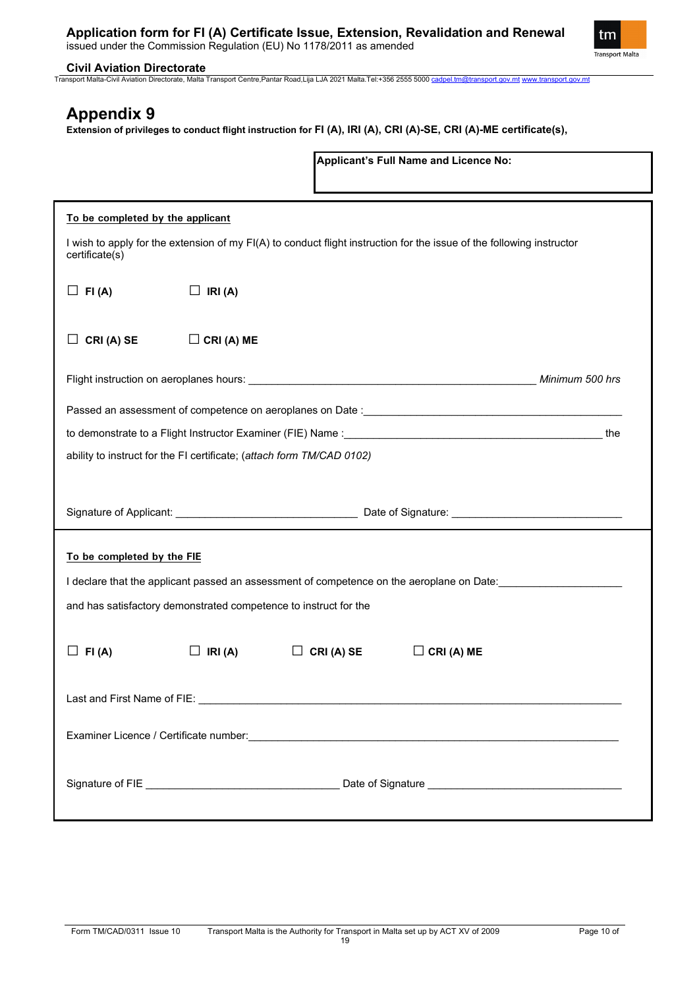

**Civil Aviation Directorate**Transport Malta-Civil Aviation Directorate, Malta Transport Centre,Pantar Road,Lija LJA 2021 Malta.Tel:+356 2555 5000 [cadpel.tm@transport.gov.mt](mailto:cadpel.tm@transport.gov.mt) [www.transport.gov.mt](http://www.transport.gov.mt/)

# **Appendix 9**

**Extension of privileges to conduct flight instruction for FI (A), IRI (A), CRI (A)-SE, CRI (A)-ME certificate(s),**

|                                                                                                                                         |                   |           | <b>Applicant's Full Name and Licence No:</b>                                              |  |
|-----------------------------------------------------------------------------------------------------------------------------------------|-------------------|-----------|-------------------------------------------------------------------------------------------|--|
| To be completed by the applicant                                                                                                        |                   |           |                                                                                           |  |
| I wish to apply for the extension of my FI(A) to conduct flight instruction for the issue of the following instructor<br>certificate(s) |                   |           |                                                                                           |  |
| $\Box$ FI(A)                                                                                                                            | $\Box$ IRI(A)     |           |                                                                                           |  |
| CRI (A) SE                                                                                                                              | $\Box$ CRI (A) ME |           |                                                                                           |  |
|                                                                                                                                         |                   |           |                                                                                           |  |
|                                                                                                                                         |                   |           |                                                                                           |  |
|                                                                                                                                         |                   |           |                                                                                           |  |
| ability to instruct for the FI certificate; (attach form TM/CAD 0102)                                                                   |                   |           |                                                                                           |  |
|                                                                                                                                         |                   |           |                                                                                           |  |
|                                                                                                                                         |                   |           |                                                                                           |  |
| To be completed by the FIE                                                                                                              |                   |           |                                                                                           |  |
|                                                                                                                                         |                   |           | I declare that the applicant passed an assessment of competence on the aeroplane on Date: |  |
| and has satisfactory demonstrated competence to instruct for the                                                                        |                   |           |                                                                                           |  |
|                                                                                                                                         |                   |           |                                                                                           |  |
| FI(A)                                                                                                                                   | IRI(A)            | CRI(A) SE | $\Box$ CRI (A) ME                                                                         |  |
|                                                                                                                                         |                   |           |                                                                                           |  |
|                                                                                                                                         |                   |           |                                                                                           |  |
|                                                                                                                                         |                   |           |                                                                                           |  |
|                                                                                                                                         |                   |           |                                                                                           |  |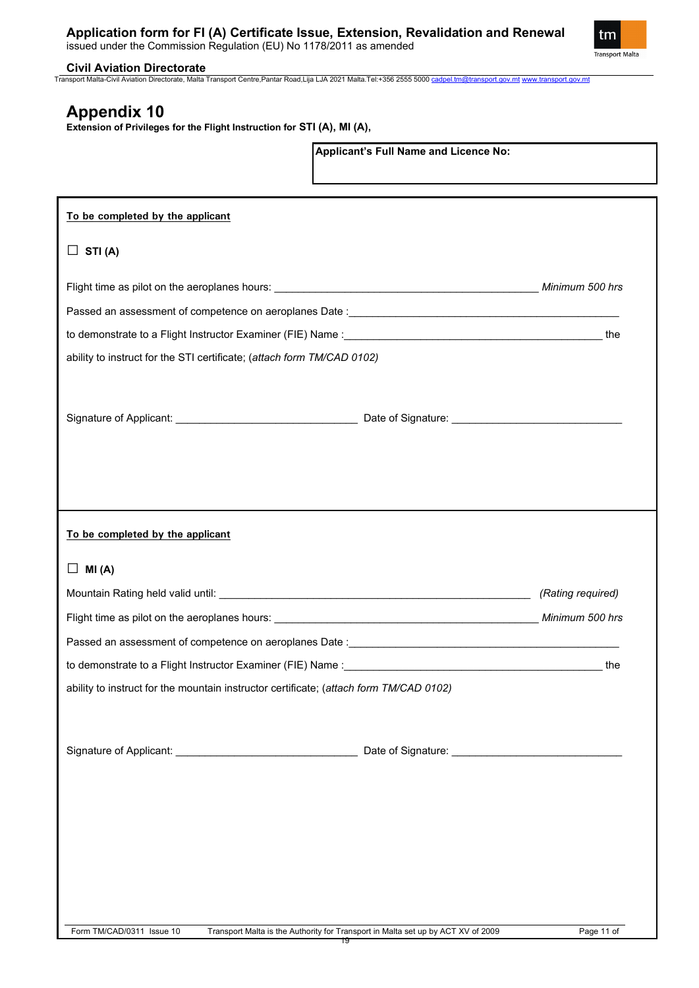

**Civil Aviation Directorate** Transport Malta-Civil Aviation Directorate, Malta Transport Centre,Pantar Road,Lija LJA 2021 Malta.Tel:+356 2555 5000 [cadpel.tm@transport.gov.mt](mailto:cadpel.tm@transport.gov.mt) [www.transport.gov.mt](http://www.transport.gov.mt/)

**Applicant's Full Name and Licence No:**

# **Appendix 10**

**Extension of Privileges for the Flight Instruction for STI (A), MI (A),** 

| To be completed by the applicant                                                       |                                                                                        |                   |
|----------------------------------------------------------------------------------------|----------------------------------------------------------------------------------------|-------------------|
| STI(A)<br>$\Box$                                                                       |                                                                                        |                   |
|                                                                                        |                                                                                        |                   |
|                                                                                        |                                                                                        |                   |
|                                                                                        |                                                                                        |                   |
| ability to instruct for the STI certificate; (attach form TM/CAD 0102)                 |                                                                                        |                   |
|                                                                                        |                                                                                        |                   |
|                                                                                        |                                                                                        |                   |
|                                                                                        |                                                                                        |                   |
|                                                                                        |                                                                                        |                   |
|                                                                                        |                                                                                        |                   |
|                                                                                        |                                                                                        |                   |
| To be completed by the applicant                                                       |                                                                                        |                   |
| ⊔<br>MI(A)                                                                             |                                                                                        |                   |
|                                                                                        |                                                                                        | (Rating required) |
|                                                                                        |                                                                                        |                   |
|                                                                                        |                                                                                        |                   |
|                                                                                        |                                                                                        | the               |
| ability to instruct for the mountain instructor certificate; (attach form TM/CAD 0102) |                                                                                        |                   |
|                                                                                        |                                                                                        |                   |
|                                                                                        |                                                                                        |                   |
|                                                                                        |                                                                                        |                   |
|                                                                                        |                                                                                        |                   |
|                                                                                        |                                                                                        |                   |
|                                                                                        |                                                                                        |                   |
|                                                                                        |                                                                                        |                   |
|                                                                                        |                                                                                        |                   |
|                                                                                        |                                                                                        |                   |
| Form TM/CAD/0311 Issue 10                                                              | Transport Malta is the Authority for Transport in Malta set up by ACT XV of 2009<br>१७ | Page 11 of        |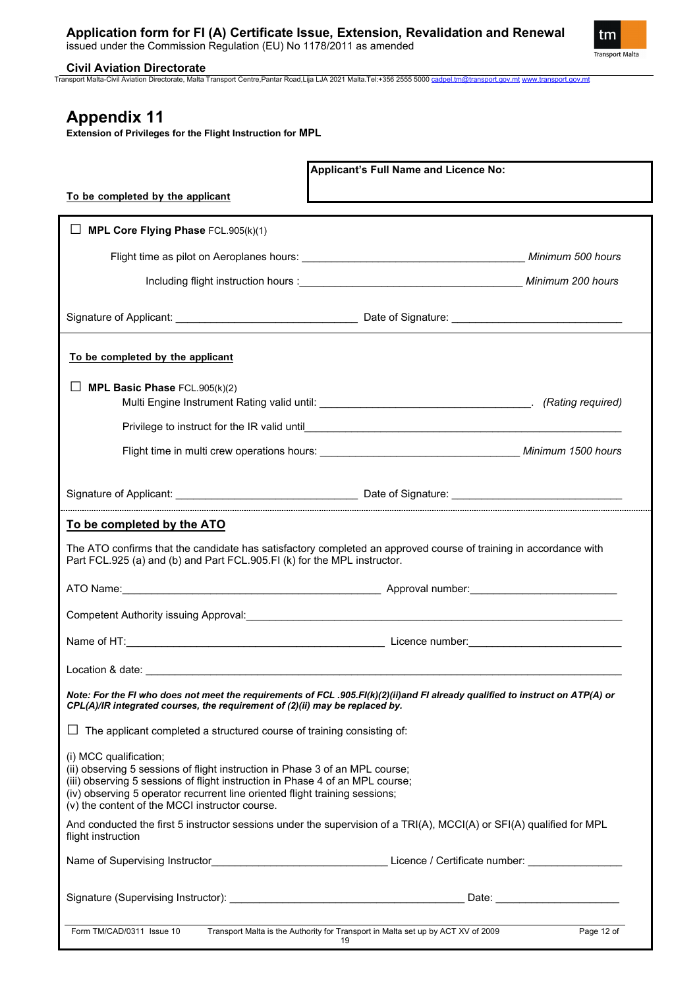

**Civil Aviation Directorate** Transport Malta-Civil Aviation Directorate, Malta Transport Centre,Pantar Road,Lija LJA 2021 Malta.Tel:+356 2555 5000 [cadpel.tm@transport.gov.mt](mailto:cadpel.tm@transport.gov.mt) [www.transport.gov.mt](http://www.transport.gov.mt/)

# **Appendix 11**

**Extension of Privileges for the Flight Instruction for MPL** 

|                                                                                                                                                                                                                                                                                                                          | Applicant's Full Name and Licence No:                                                  |            |  |  |  |
|--------------------------------------------------------------------------------------------------------------------------------------------------------------------------------------------------------------------------------------------------------------------------------------------------------------------------|----------------------------------------------------------------------------------------|------------|--|--|--|
| To be completed by the applicant                                                                                                                                                                                                                                                                                         |                                                                                        |            |  |  |  |
|                                                                                                                                                                                                                                                                                                                          |                                                                                        |            |  |  |  |
| MPL Core Flying Phase FCL.905(k)(1)                                                                                                                                                                                                                                                                                      |                                                                                        |            |  |  |  |
|                                                                                                                                                                                                                                                                                                                          |                                                                                        |            |  |  |  |
|                                                                                                                                                                                                                                                                                                                          |                                                                                        |            |  |  |  |
|                                                                                                                                                                                                                                                                                                                          |                                                                                        |            |  |  |  |
| To be completed by the applicant                                                                                                                                                                                                                                                                                         |                                                                                        |            |  |  |  |
| MPL Basic Phase FCL.905(k)(2)                                                                                                                                                                                                                                                                                            |                                                                                        |            |  |  |  |
|                                                                                                                                                                                                                                                                                                                          |                                                                                        |            |  |  |  |
|                                                                                                                                                                                                                                                                                                                          |                                                                                        |            |  |  |  |
|                                                                                                                                                                                                                                                                                                                          |                                                                                        |            |  |  |  |
| Signature of Applicant: <u>Community Contract Community Contract Contract Contract Contract Contract Contract Contract Contract Contract Contract Contract Contract Contract Contract Contract Contract Contract Contract Contra</u>                                                                                     |                                                                                        |            |  |  |  |
| To be completed by the ATO                                                                                                                                                                                                                                                                                               |                                                                                        |            |  |  |  |
| The ATO confirms that the candidate has satisfactory completed an approved course of training in accordance with<br>Part FCL.925 (a) and (b) and Part FCL.905.FI (k) for the MPL instructor.                                                                                                                             |                                                                                        |            |  |  |  |
|                                                                                                                                                                                                                                                                                                                          |                                                                                        |            |  |  |  |
|                                                                                                                                                                                                                                                                                                                          |                                                                                        |            |  |  |  |
|                                                                                                                                                                                                                                                                                                                          |                                                                                        |            |  |  |  |
|                                                                                                                                                                                                                                                                                                                          |                                                                                        |            |  |  |  |
| Note: For the FI who does not meet the requirements of FCL .905.FI(k)(2)(ii)and FI already qualified to instruct on ATP(A) or<br>CPL(A)/IR integrated courses, the requirement of (2)(ii) may be replaced by.                                                                                                            |                                                                                        |            |  |  |  |
| The applicant completed a structured course of training consisting of:                                                                                                                                                                                                                                                   |                                                                                        |            |  |  |  |
| (i) MCC qualification;<br>(ii) observing 5 sessions of flight instruction in Phase 3 of an MPL course;<br>(iii) observing 5 sessions of flight instruction in Phase 4 of an MPL course;<br>(iv) observing 5 operator recurrent line oriented flight training sessions;<br>(v) the content of the MCCI instructor course. |                                                                                        |            |  |  |  |
| And conducted the first 5 instructor sessions under the supervision of a TRI(A), MCCI(A) or SFI(A) qualified for MPL<br>flight instruction                                                                                                                                                                               |                                                                                        |            |  |  |  |
|                                                                                                                                                                                                                                                                                                                          |                                                                                        |            |  |  |  |
|                                                                                                                                                                                                                                                                                                                          |                                                                                        |            |  |  |  |
| Form TM/CAD/0311 Issue 10                                                                                                                                                                                                                                                                                                | Transport Malta is the Authority for Transport in Malta set up by ACT XV of 2009<br>19 | Page 12 of |  |  |  |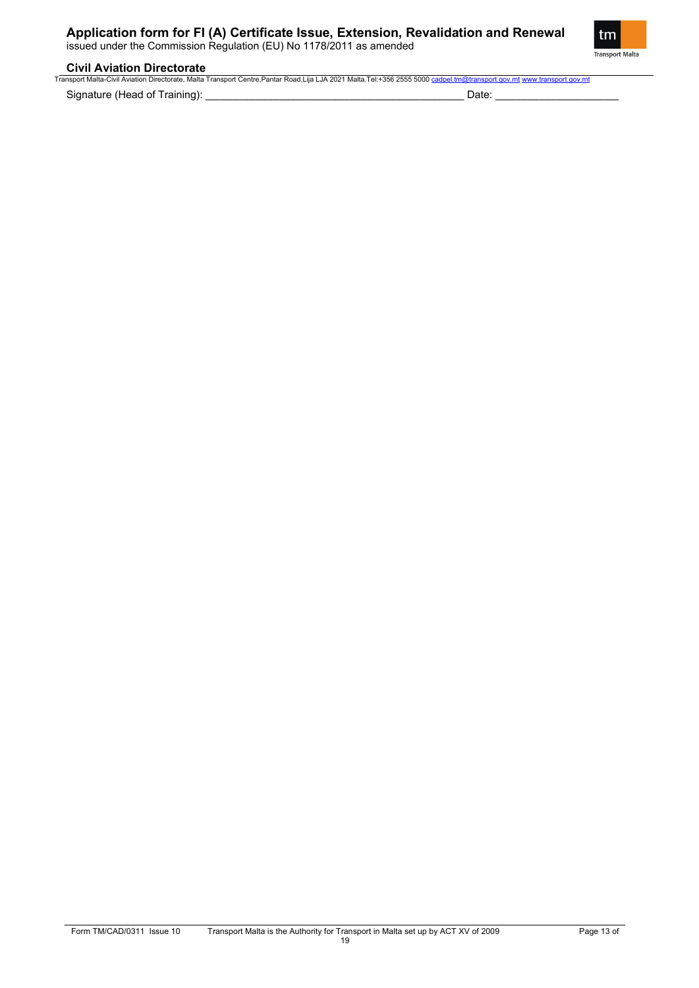issued under the Commission Regulation (EU) No 1178/2011 as amended



## **Civil Aviation Directorate**

|                              | Transport Malta-Civil Aviation Directorate. Malta Transport Centre.Pantar Road.Liia LJA 2021 Malta.Tel:+356 2555 5000 cadpel.tm@transport.gov.mt www.transport.gov.mt |
|------------------------------|-----------------------------------------------------------------------------------------------------------------------------------------------------------------------|
| Signature (Head of Training) | )atc                                                                                                                                                                  |

Form TM/CAD/0311 Issue 10 Transport Malta is the Authority for Transport in Malta set up by ACT XV of 2009 Page 13 of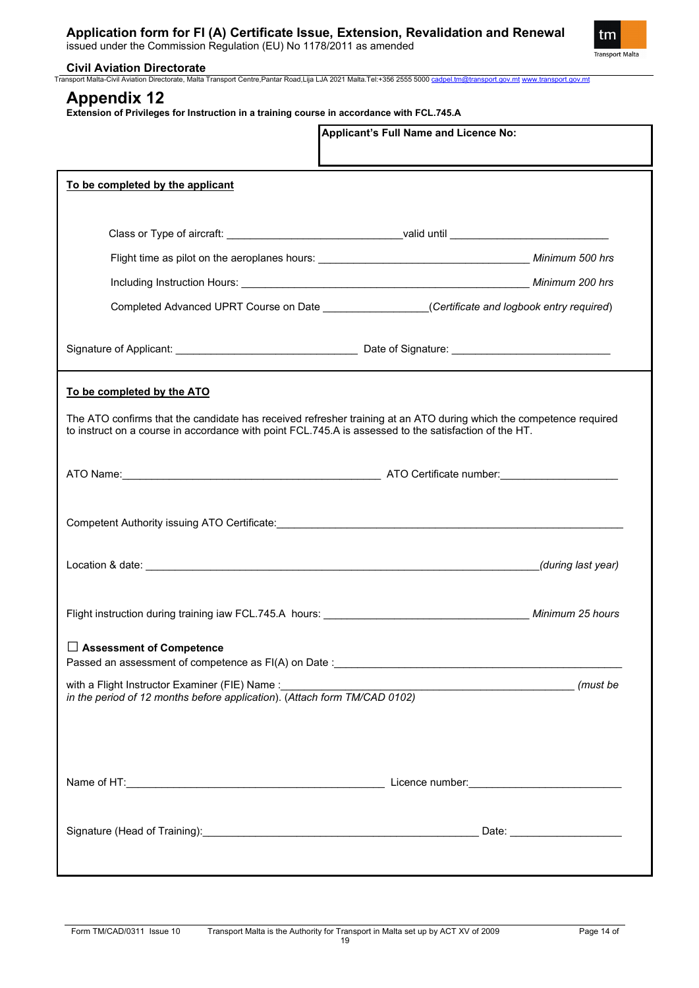issued under the Commission Regulation (EU) No 1178/2011 as amended



**Civil Aviation Directorate** Transport Malta-Civil Aviation Directorate, Malta Transport Centre,Pantar Road,Lija LJA 2021 Malta.Tel:+356 2555 5000 [cadpel.tm@transport.gov.mt](mailto:cadpel.tm@transport.gov.mt) [www.transport.gov.mt](http://www.transport.gov.mt/)

# **Appendix 12**

**Extension of Privileges for Instruction in a training course in accordance with FCL.745.A**

|                                                                                                                                                               | Applicant's Full Name and Licence No:                                                                              |
|---------------------------------------------------------------------------------------------------------------------------------------------------------------|--------------------------------------------------------------------------------------------------------------------|
| To be completed by the applicant                                                                                                                              |                                                                                                                    |
|                                                                                                                                                               |                                                                                                                    |
|                                                                                                                                                               | Class or Type of aircraft: __________________________________valid until __________________________                |
|                                                                                                                                                               |                                                                                                                    |
|                                                                                                                                                               |                                                                                                                    |
|                                                                                                                                                               | Completed Advanced UPRT Course on Date _________________(Certificate and logbook entry required)                   |
|                                                                                                                                                               |                                                                                                                    |
| To be completed by the ATO                                                                                                                                    |                                                                                                                    |
| to instruct on a course in accordance with point FCL.745.A is assessed to the satisfaction of the HT.                                                         | The ATO confirms that the candidate has received refresher training at an ATO during which the competence required |
|                                                                                                                                                               |                                                                                                                    |
|                                                                                                                                                               |                                                                                                                    |
|                                                                                                                                                               | (during last year)                                                                                                 |
|                                                                                                                                                               |                                                                                                                    |
| $\Box$ Assessment of Competence                                                                                                                               |                                                                                                                    |
| with a Flight Instructor Examiner (FIE) Name : _________________________________<br>in the period of 12 months before application). (Attach form TM/CAD 0102) |                                                                                                                    |
|                                                                                                                                                               |                                                                                                                    |
|                                                                                                                                                               |                                                                                                                    |
|                                                                                                                                                               |                                                                                                                    |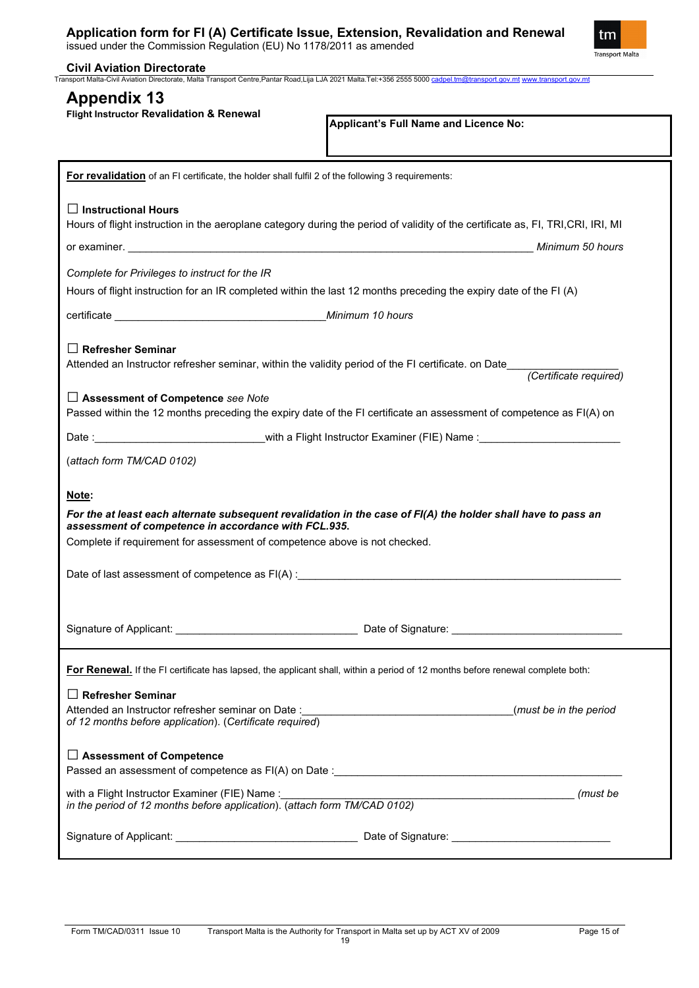|  |  | Application form for FI (A) Certificate Issue, Extension, Revalidation and Renewal |  |
|--|--|------------------------------------------------------------------------------------|--|
|  |  |                                                                                    |  |



| Flight Instructor Revalidation & Renewal                                                                                           | Applicant's Full Name and Licence No:                                                                                            |
|------------------------------------------------------------------------------------------------------------------------------------|----------------------------------------------------------------------------------------------------------------------------------|
| For revalidation of an FI certificate, the holder shall fulfil 2 of the following 3 requirements:                                  |                                                                                                                                  |
| $\Box$ Instructional Hours                                                                                                         |                                                                                                                                  |
|                                                                                                                                    | Hours of flight instruction in the aeroplane category during the period of validity of the certificate as, FI, TRI, CRI, IRI, MI |
|                                                                                                                                    | Minimum 50 hours                                                                                                                 |
| Complete for Privileges to instruct for the IR                                                                                     |                                                                                                                                  |
|                                                                                                                                    | Hours of flight instruction for an IR completed within the last 12 months preceding the expiry date of the FI (A)                |
|                                                                                                                                    |                                                                                                                                  |
|                                                                                                                                    |                                                                                                                                  |
| $\Box$ Refresher Seminar                                                                                                           |                                                                                                                                  |
|                                                                                                                                    |                                                                                                                                  |
| $\Box$ Assessment of Competence see Note                                                                                           |                                                                                                                                  |
|                                                                                                                                    | Passed within the 12 months preceding the expiry date of the FI certificate an assessment of competence as FI(A) on              |
|                                                                                                                                    | Date :__________________________________with a Flight Instructor Examiner (FIE) Name :____________________                       |
| (attach form TM/CAD 0102)                                                                                                          |                                                                                                                                  |
|                                                                                                                                    |                                                                                                                                  |
|                                                                                                                                    |                                                                                                                                  |
| Note:                                                                                                                              |                                                                                                                                  |
|                                                                                                                                    | For the at least each alternate subsequent revalidation in the case of FI(A) the holder shall have to pass an                    |
| assessment of competence in accordance with FCL.935.<br>Complete if requirement for assessment of competence above is not checked. |                                                                                                                                  |
|                                                                                                                                    |                                                                                                                                  |
|                                                                                                                                    | Date of last assessment of competence as FI(A) :_________________________________                                                |
|                                                                                                                                    |                                                                                                                                  |
|                                                                                                                                    |                                                                                                                                  |
|                                                                                                                                    | For Renewal. If the FI certificate has lapsed, the applicant shall, within a period of 12 months before renewal complete both:   |
| $\Box$ Refresher Seminar                                                                                                           |                                                                                                                                  |
|                                                                                                                                    | (must be in the period                                                                                                           |
| of 12 months before application). (Certificate required)                                                                           |                                                                                                                                  |
| $\Box$ Assessment of Competence                                                                                                    |                                                                                                                                  |
|                                                                                                                                    |                                                                                                                                  |
| with a Flight Instructor Examiner (FIE) Name :                                                                                     |                                                                                                                                  |
| in the period of 12 months before application). (attach form TM/CAD 0102)                                                          |                                                                                                                                  |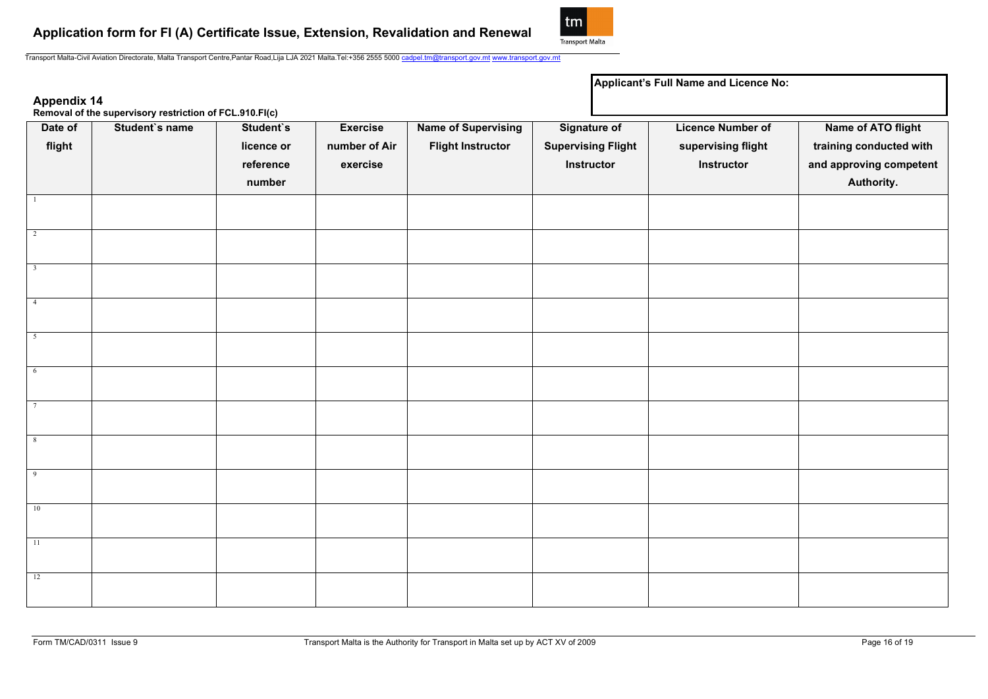

**Applicant's Full Name and Licence No:**

Transport Malta-Civil Aviation Directorate, Malta Transport Centre,Pantar Road,Lija LJA 2021 Malta.Tel:+356 2555 5000 [cadpel.tm@transport.gov.mt](mailto:cadpel.tm@transport.gov.mt) [www.transport.gov.mt](http://www.transport.gov.mt/)

| Appendix 14<br>Removal of the supervisory restriction of FCL.910.FI(c) |                |                                                |                                              |                                                        |                                                                |  |                                                              |                                                                                        |
|------------------------------------------------------------------------|----------------|------------------------------------------------|----------------------------------------------|--------------------------------------------------------|----------------------------------------------------------------|--|--------------------------------------------------------------|----------------------------------------------------------------------------------------|
| Date of<br>flight                                                      | Student's name | Student's<br>licence or<br>reference<br>number | <b>Exercise</b><br>number of Air<br>exercise | <b>Name of Supervising</b><br><b>Flight Instructor</b> | <b>Signature of</b><br><b>Supervising Flight</b><br>Instructor |  | <b>Licence Number of</b><br>supervising flight<br>Instructor | Name of ATO flight<br>training conducted with<br>and approving competent<br>Authority. |
|                                                                        |                |                                                |                                              |                                                        |                                                                |  |                                                              |                                                                                        |
| $\overline{2}$                                                         |                |                                                |                                              |                                                        |                                                                |  |                                                              |                                                                                        |
| $\overline{\mathbf{3}}$                                                |                |                                                |                                              |                                                        |                                                                |  |                                                              |                                                                                        |
| $\overline{4}$                                                         |                |                                                |                                              |                                                        |                                                                |  |                                                              |                                                                                        |
| 5                                                                      |                |                                                |                                              |                                                        |                                                                |  |                                                              |                                                                                        |
| $6\overline{6}$                                                        |                |                                                |                                              |                                                        |                                                                |  |                                                              |                                                                                        |
| $\overline{7}$                                                         |                |                                                |                                              |                                                        |                                                                |  |                                                              |                                                                                        |
| 8                                                                      |                |                                                |                                              |                                                        |                                                                |  |                                                              |                                                                                        |
| $\sqrt{9}$                                                             |                |                                                |                                              |                                                        |                                                                |  |                                                              |                                                                                        |
| 10                                                                     |                |                                                |                                              |                                                        |                                                                |  |                                                              |                                                                                        |
| $\overline{11}$                                                        |                |                                                |                                              |                                                        |                                                                |  |                                                              |                                                                                        |
| 12                                                                     |                |                                                |                                              |                                                        |                                                                |  |                                                              |                                                                                        |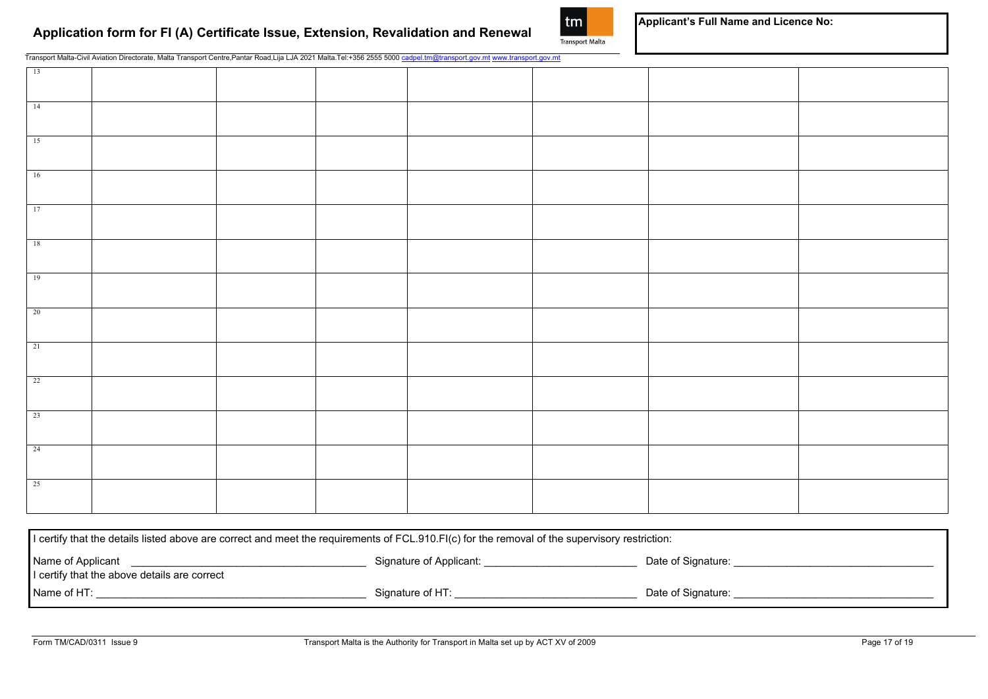

**Applicant's Full Name and Licence No:**

Transport Malta-Civil Aviation Directorate, Malta Transport Centre,Pantar Road,Lija LJA 2021 Malta.Tel:+356 2555 5000 [cadpel.tm@transport.gov.mt](mailto:cadpel.tm@transport.gov.mt) [www.transport.gov.mt](http://www.transport.gov.mt/)

| 13              |  |  |  |  |
|-----------------|--|--|--|--|
| 14              |  |  |  |  |
| 15              |  |  |  |  |
| 16              |  |  |  |  |
| 17              |  |  |  |  |
| 18              |  |  |  |  |
| 19              |  |  |  |  |
| $\overline{20}$ |  |  |  |  |
| 21              |  |  |  |  |
| 22              |  |  |  |  |
| 23              |  |  |  |  |
| 24              |  |  |  |  |
| 25              |  |  |  |  |

| l certify that the details listed above are correct and meet the requirements of FCL.910.FI(c) for the removal of the supervisory restriction: |                         |                    |  |  |  |
|------------------------------------------------------------------------------------------------------------------------------------------------|-------------------------|--------------------|--|--|--|
| Name of Applicant<br>I certify that the above details are correct                                                                              | Signature of Applicant: | Date of Signature: |  |  |  |
| Name of HT:                                                                                                                                    | Signature of HT:        | Date of Signature: |  |  |  |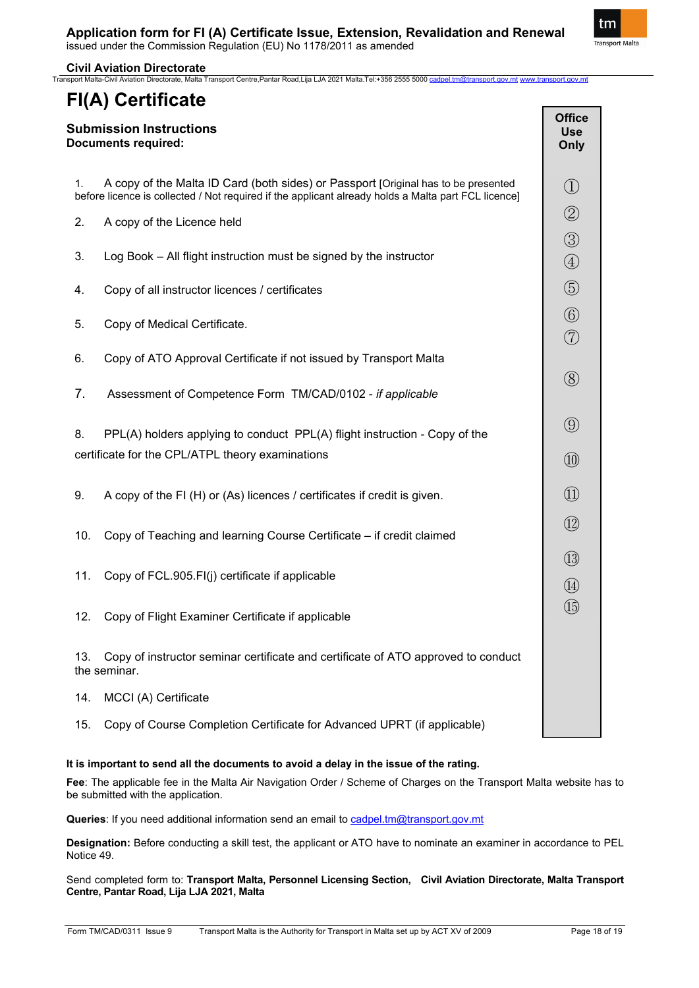tm Transport Malta

**Civil Aviation Directorate**

## rate, Malta Transport Centre,Pantar Road,Lija LJA 2021 Malta.Tel:+356 2555 5000 <u>[cadpel.tm@transport.gov.mt](mailto:cadpel.tm@transport.gov.mt) [www.transport.gov.mt](http://www.transport.gov.mt/)</u> **FI(A) Certificate Submission Instructions Documents required:** 1. A copy of the Malta ID Card (both sides) or Passport [Original has to be presented before licence is collected / Not required if the applicant already holds a Malta part FCL licence] 2. A copy of the Licence held 3. Log Book – All flight instruction must be signed by the instructor 4. Copy of all instructor licences / certificates 5. Copy of Medical Certificate. 6. Copy of ATO Approval Certificate if not issued by Transport Malta 7. Assessment of Competence Form TM/CAD/0102 - *if applicable* 8. PPL(A) holders applying to conduct PPL(A) flight instruction - Copy of the certificate for the CPL/ATPL theory examinations 9. A copy of the FI (H) or (As) licences / certificates if credit is given. 10. Copy of Teaching and learning Course Certificate – if credit claimed 11. Copy of FCL.905.FI(j) certificate if applicable 12. Copy of Flight Examiner Certificate if applicable 13. Copy of instructor seminar certificate and certificate of ATO approved to conduct the seminar. 14. MCCI (A) Certificate 15. Copy of Course Completion Certificate for Advanced UPRT (if applicable) **Office Use Only**  $\left( \overline{1} \right)$ ② ③ ④ ⑤ ⑥ ⑦ ⑧ ⑨ ⑩  $\Omega$ ⑫ ⑬  $\Omega$ ⑮

## **It is important to send all the documents to avoid a delay in the issue of the rating.**

**Fee**: The applicable fee in the Malta Air Navigation Order / Scheme of Charges on the Transport Malta website has to be submitted with the application.

**Queries**: If you need additional information send an email to [cadpel.tm@transport.gov.mt](mailto:cadpel.tm@transport.gov.mt) 

**Designation:** Before conducting a skill test, the applicant or ATO have to nominate an examiner in accordance to PEL Notice 49.

Send completed form to: **Transport Malta, Personnel Licensing Section, Civil Aviation Directorate, Malta Transport Centre, Pantar Road, Lija LJA 2021, Malta**